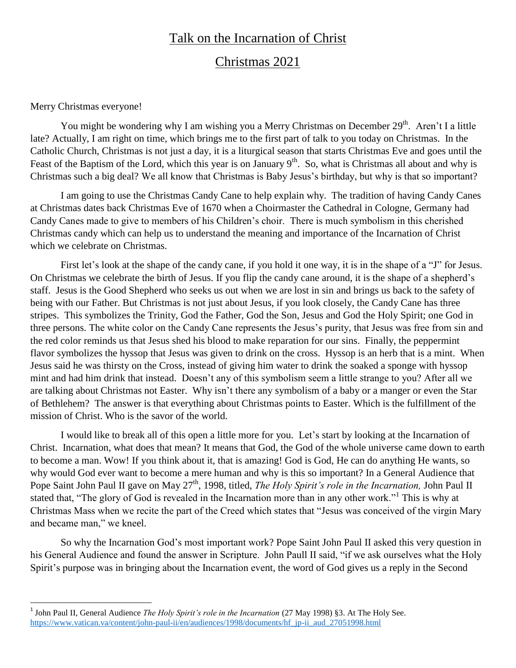## Talk on the Incarnation of Christ

## Christmas 2021

## Merry Christmas everyone!

 $\overline{\phantom{a}}$ 

You might be wondering why I am wishing you a Merry Christmas on December 29<sup>th</sup>. Aren't I a little late? Actually, I am right on time, which brings me to the first part of talk to you today on Christmas. In the Catholic Church, Christmas is not just a day, it is a liturgical season that starts Christmas Eve and goes until the Feast of the Baptism of the Lord, which this year is on January  $9<sup>th</sup>$ . So, what is Christmas all about and why is Christmas such a big deal? We all know that Christmas is Baby Jesus"s birthday, but why is that so important?

I am going to use the Christmas Candy Cane to help explain why. The tradition of having Candy Canes at Christmas dates back Christmas Eve of 1670 when a Choirmaster the Cathedral in Cologne, Germany had Candy Canes made to give to members of his Children"s choir. There is much symbolism in this cherished Christmas candy which can help us to understand the meaning and importance of the Incarnation of Christ which we celebrate on Christmas.

First let's look at the shape of the candy cane, if you hold it one way, it is in the shape of a "J" for Jesus. On Christmas we celebrate the birth of Jesus. If you flip the candy cane around, it is the shape of a shepherd"s staff. Jesus is the Good Shepherd who seeks us out when we are lost in sin and brings us back to the safety of being with our Father. But Christmas is not just about Jesus, if you look closely, the Candy Cane has three stripes. This symbolizes the Trinity, God the Father, God the Son, Jesus and God the Holy Spirit; one God in three persons. The white color on the Candy Cane represents the Jesus"s purity, that Jesus was free from sin and the red color reminds us that Jesus shed his blood to make reparation for our sins. Finally, the peppermint flavor symbolizes the hyssop that Jesus was given to drink on the cross. Hyssop is an herb that is a mint. When Jesus said he was thirsty on the Cross, instead of giving him water to drink the soaked a sponge with hyssop mint and had him drink that instead. Doesn"t any of this symbolism seem a little strange to you? After all we are talking about Christmas not Easter. Why isn't there any symbolism of a baby or a manger or even the Star of Bethlehem? The answer is that everything about Christmas points to Easter. Which is the fulfillment of the mission of Christ. Who is the savor of the world.

I would like to break all of this open a little more for you. Let's start by looking at the Incarnation of Christ. Incarnation, what does that mean? It means that God, the God of the whole universe came down to earth to become a man. Wow! If you think about it, that is amazing! God is God, He can do anything He wants, so why would God ever want to become a mere human and why is this so important? In a General Audience that Pope Saint John Paul II gave on May 27<sup>th</sup>, 1998, titled, *The Holy Spirit's role in the Incarnation*, John Paul II stated that, "The glory of God is revealed in the Incarnation more than in any other work."<sup>1</sup> This is why at Christmas Mass when we recite the part of the Creed which states that "Jesus was conceived of the virgin Mary and became man," we kneel.

So why the Incarnation God"s most important work? Pope Saint John Paul II asked this very question in his General Audience and found the answer in Scripture. John Paull II said, "if we ask ourselves what the Holy Spirit's purpose was in bringing about the Incarnation event, the word of God gives us a reply in the Second

<sup>&</sup>lt;sup>1</sup> John Paul II, General Audience *The Holy Spirit's role in the Incarnation* (27 May 1998) §3. At The Holy See. [https://www.vatican.va/content/john-paul-ii/en/audiences/1998/documents/hf\\_jp-ii\\_aud\\_27051998.html](https://www.vatican.va/content/john-paul-ii/en/audiences/1998/documents/hf_jp-ii_aud_27051998.html)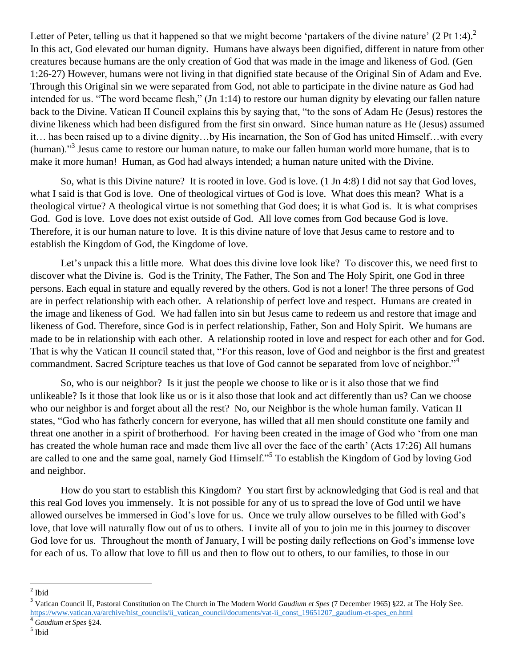Letter of Peter, telling us that it happened so that we might become 'partakers of the divine nature'  $(2 \text{ Pt } 1:4)$ .<sup>2</sup> In this act, God elevated our human dignity. Humans have always been dignified, different in nature from other creatures because humans are the only creation of God that was made in the image and likeness of God. (Gen 1:26-27) However, humans were not living in that dignified state because of the Original Sin of Adam and Eve. Through this Original sin we were separated from God, not able to participate in the divine nature as God had intended for us. "The word became flesh," (Jn 1:14) to restore our human dignity by elevating our fallen nature back to the Divine. Vatican II Council explains this by saying that, "to the sons of Adam He (Jesus) restores the divine likeness which had been disfigured from the first sin onward. Since human nature as He (Jesus) assumed it… has been raised up to a divine dignity…by His incarnation, the Son of God has united Himself…with every (human)."<sup>3</sup> Jesus came to restore our human nature, to make our fallen human world more humane, that is to make it more human! Human, as God had always intended; a human nature united with the Divine.

So, what is this Divine nature? It is rooted in love. God is love. (1 Jn 4:8) I did not say that God loves, what I said is that God is love. One of theological virtues of God is love. What does this mean? What is a theological virtue? A theological virtue is not something that God does; it is what God is. It is what comprises God. God is love. Love does not exist outside of God. All love comes from God because God is love. Therefore, it is our human nature to love. It is this divine nature of love that Jesus came to restore and to establish the Kingdom of God, the Kingdome of love.

Let's unpack this a little more. What does this divine love look like? To discover this, we need first to discover what the Divine is. God is the Trinity, The Father, The Son and The Holy Spirit, one God in three persons. Each equal in stature and equally revered by the others. God is not a loner! The three persons of God are in perfect relationship with each other. A relationship of perfect love and respect. Humans are created in the image and likeness of God. We had fallen into sin but Jesus came to redeem us and restore that image and likeness of God. Therefore, since God is in perfect relationship, Father, Son and Holy Spirit. We humans are made to be in relationship with each other. A relationship rooted in love and respect for each other and for God. That is why the Vatican II council stated that, "For this reason, love of God and neighbor is the first and greatest commandment. Sacred Scripture teaches us that love of God cannot be separated from love of neighbor."<sup>4</sup>

So, who is our neighbor? Is it just the people we choose to like or is it also those that we find unlikeable? Is it those that look like us or is it also those that look and act differently than us? Can we choose who our neighbor is and forget about all the rest? No, our Neighbor is the whole human family. Vatican II states, "God who has fatherly concern for everyone, has willed that all men should constitute one family and threat one another in a spirit of brotherhood. For having been created in the image of God who "from one man has created the whole human race and made them live all over the face of the earth' (Acts 17:26) All humans are called to one and the same goal, namely God Himself."<sup>5</sup> To establish the Kingdom of God by loving God and neighbor.

How do you start to establish this Kingdom? You start first by acknowledging that God is real and that this real God loves you immensely. It is not possible for any of us to spread the love of God until we have allowed ourselves be immersed in God"s love for us. Once we truly allow ourselves to be filled with God"s love, that love will naturally flow out of us to others. I invite all of you to join me in this journey to discover God love for us. Throughout the month of January, I will be posting daily reflections on God's immense love for each of us. To allow that love to fill us and then to flow out to others, to our families, to those in our

<sup>&</sup>lt;sup>2</sup> Ibid

<sup>&</sup>lt;sup>3</sup> Vatican Council II, Pastoral Constitution on The Church in The Modern World *Gaudium et Spes* (7 December 1965) §22. at The Holy See. [https://www.vatican.va/archive/hist\\_councils/ii\\_vatican\\_council/documents/vat-ii\\_const\\_19651207\\_gaudium-et-spes\\_en.html](https://www.vatican.va/archive/hist_councils/ii_vatican_council/documents/vat-ii_const_19651207_gaudium-et-spes_en.html)

<sup>4</sup> *Gaudium et Spes* §24.